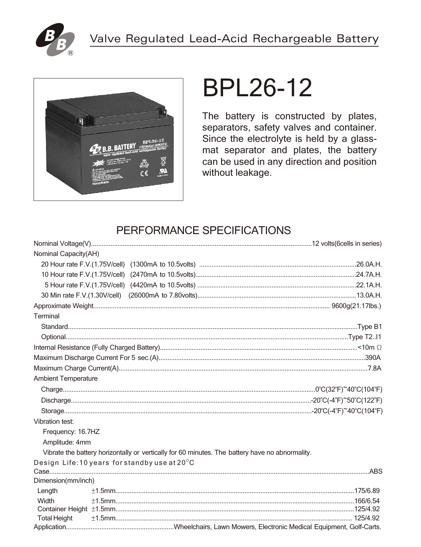



# **BPL26-12**

The battery is constructed by plates, separators, safety valves and container. Since the electrolyte is held by a glassmat separator and plates, the battery can be used in any direction and position without leakage.

# PERFORMANCE SPECIFICATIONS

| Nominal Capacity(AH)       |                                                                                                 |  |
|----------------------------|-------------------------------------------------------------------------------------------------|--|
|                            |                                                                                                 |  |
|                            |                                                                                                 |  |
|                            |                                                                                                 |  |
|                            |                                                                                                 |  |
|                            |                                                                                                 |  |
| Terminal                   |                                                                                                 |  |
|                            |                                                                                                 |  |
|                            |                                                                                                 |  |
|                            |                                                                                                 |  |
|                            |                                                                                                 |  |
|                            |                                                                                                 |  |
| <b>Ambient Temperature</b> |                                                                                                 |  |
|                            |                                                                                                 |  |
|                            |                                                                                                 |  |
|                            |                                                                                                 |  |
| <b>Vibration test:</b>     |                                                                                                 |  |
| Frequency: 16.7HZ          |                                                                                                 |  |
| Amplitude: 4mm             |                                                                                                 |  |
|                            | Vibrate the battery horizontally or vertically for 60 minutes. The battery have no abnormality. |  |
|                            | Design Life: 10 years for standby use at 20°C                                                   |  |
|                            |                                                                                                 |  |
| Dimension(mm/inch)         |                                                                                                 |  |
| Length                     |                                                                                                 |  |
| Width                      |                                                                                                 |  |
| <b>Total Height</b>        |                                                                                                 |  |
|                            |                                                                                                 |  |
|                            |                                                                                                 |  |